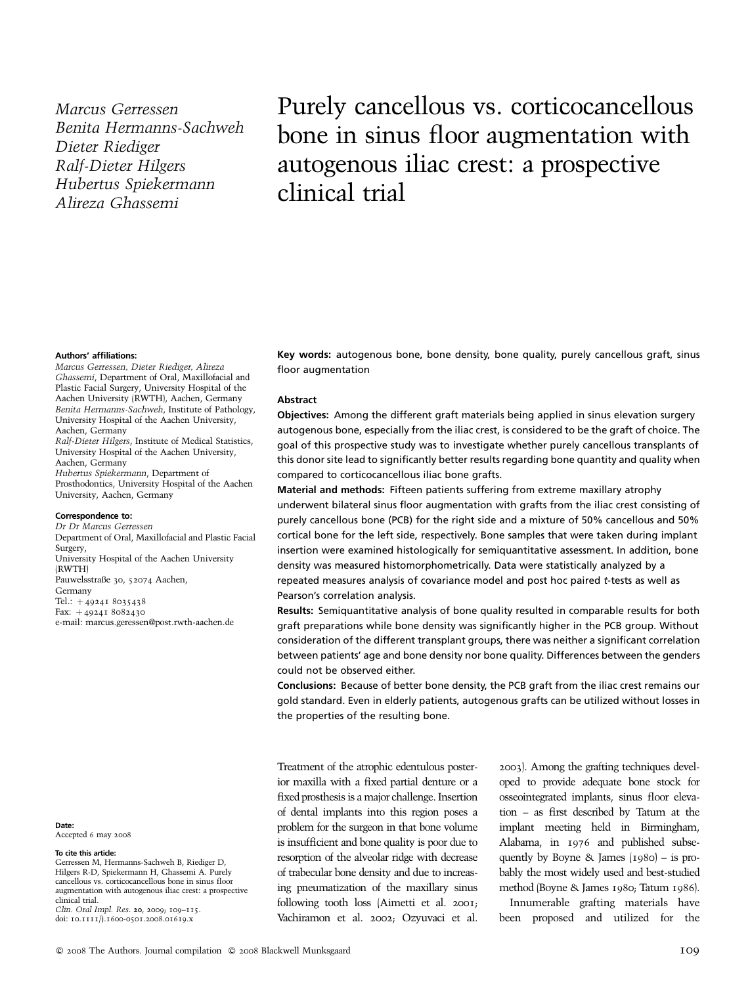Marcus Gerressen Benita Hermanns-Sachweh Dieter Riediger Ralf-Dieter Hilgers Hubertus Spiekermann Alireza Ghassemi

# Purely cancellous vs. corticocancellous bone in sinus floor augmentation with autogenous iliac crest: a prospective clinical trial

#### Authors' affiliations:

Marcus Gerressen, Dieter Riediger, Alireza Ghassemi, Department of Oral, Maxillofacial and Plastic Facial Surgery, University Hospital of the Aachen University (RWTH), Aachen, Germany Benita Hermanns-Sachweh, Institute of Pathology, University Hospital of the Aachen University, Aachen, Germany Ralf-Dieter Hilgers, Institute of Medical Statistics, University Hospital of the Aachen University, Aachen, Germany

Hubertus Spiekermann, Department of Prosthodontics, University Hospital of the Aachen University, Aachen, Germany

#### Correspondence to:

Dr Dr Marcus Gerressen Department of Oral, Maxillofacial and Plastic Facial Surgery, University Hospital of the Aachen University (RWTH) Pauwelsstraße 30, 52074 Aachen, Germany Tel.: +49241 8035438 Fax:  $+492418082430$ e-mail: marcus.geressen@post.rwth-aachen.de

Date: Accepted 6 may 2008

#### To cite this article:

Gerressen M, Hermanns-Sachweh B, Riediger D, Hilgers R-D, Spiekermann H, Ghassemi A. Purely cancellous vs. corticocancellous bone in sinus floor augmentation with autogenous iliac crest: a prospective clinical trial. Clin. Oral Impl. Res. 20, 2009; 109–115. doi: 10.1111/j.1600-0501.2008.01619.x

Key words: autogenous bone, bone density, bone quality, purely cancellous graft, sinus floor augmentation

#### **Abstract**

Objectives: Among the different graft materials being applied in sinus elevation surgery autogenous bone, especially from the iliac crest, is considered to be the graft of choice. The goal of this prospective study was to investigate whether purely cancellous transplants of this donor site lead to significantly better results regarding bone quantity and quality when compared to corticocancellous iliac bone grafts.

Material and methods: Fifteen patients suffering from extreme maxillary atrophy underwent bilateral sinus floor augmentation with grafts from the iliac crest consisting of purely cancellous bone (PCB) for the right side and a mixture of 50% cancellous and 50% cortical bone for the left side, respectively. Bone samples that were taken during implant insertion were examined histologically for semiquantitative assessment. In addition, bone density was measured histomorphometrically. Data were statistically analyzed by a repeated measures analysis of covariance model and post hoc paired t-tests as well as Pearson's correlation analysis.

Results: Semiquantitative analysis of bone quality resulted in comparable results for both graft preparations while bone density was significantly higher in the PCB group. Without consideration of the different transplant groups, there was neither a significant correlation between patients' age and bone density nor bone quality. Differences between the genders could not be observed either.

Conclusions: Because of better bone density, the PCB graft from the iliac crest remains our gold standard. Even in elderly patients, autogenous grafts can be utilized without losses in the properties of the resulting bone.

Treatment of the atrophic edentulous posterior maxilla with a fixed partial denture or a fixed prosthesis is a major challenge. Insertion of dental implants into this region poses a problem for the surgeon in that bone volume is insufficient and bone quality is poor due to resorption of the alveolar ridge with decrease of trabecular bone density and due to increasing pneumatization of the maxillary sinus following tooth loss (Aimetti et al. 2001; Vachiramon et al. 2002; Ozyuvaci et al.

2003). Among the grafting techniques developed to provide adequate bone stock for osseointegrated implants, sinus floor elevation – as first described by Tatum at the implant meeting held in Birmingham, Alabama, in 1976 and published subsequently by Boyne & James (1980) – is probably the most widely used and best-studied method (Boyne & James 1980; Tatum 1986).

Innumerable grafting materials have been proposed and utilized for the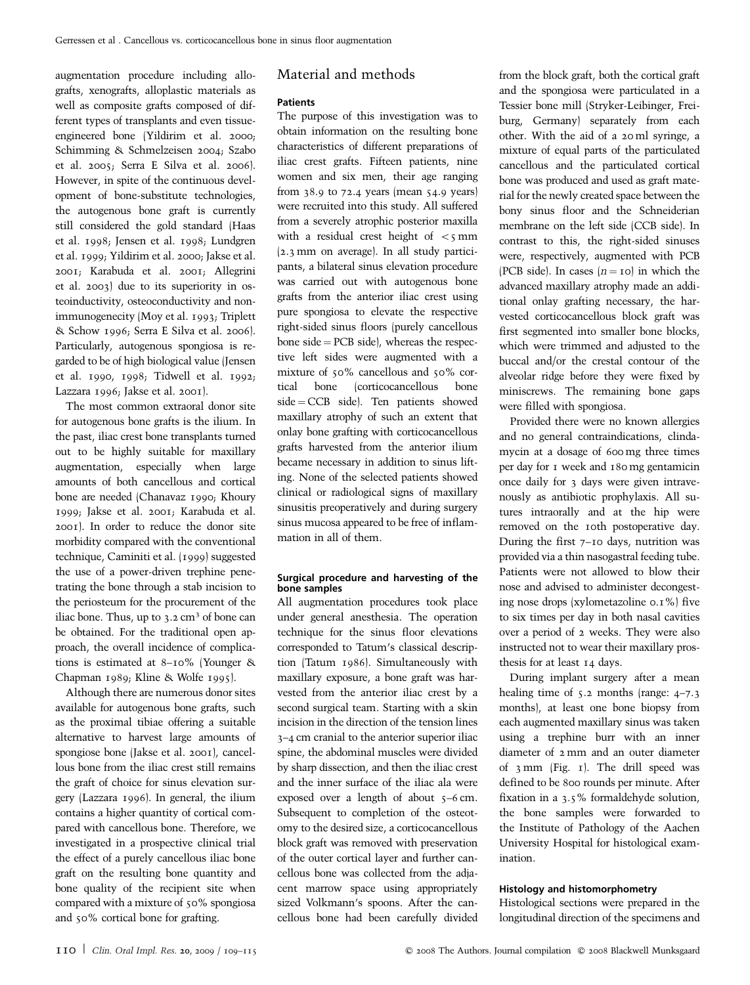augmentation procedure including allografts, xenografts, alloplastic materials as well as composite grafts composed of different types of transplants and even tissueengineered bone (Yildirim et al. 2000; Schimming & Schmelzeisen 2004; Szabo et al. 2005; Serra E Silva et al. 2006). However, in spite of the continuous development of bone-substitute technologies, the autogenous bone graft is currently still considered the gold standard (Haas et al. 1998; Jensen et al. 1998; Lundgren et al. 1999; Yildirim et al. 2000; Jakse et al. 2001; Karabuda et al. 2001; Allegrini et al. 2003) due to its superiority in osteoinductivity, osteoconductivity and nonimmunogenecity (Moy et al. 1993; Triplett & Schow 1996; Serra E Silva et al. 2006). Particularly, autogenous spongiosa is regarded to be of high biological value (Jensen et al. 1990, 1998; Tidwell et al. 1992; Lazzara 1996; Jakse et al. 2001).

The most common extraoral donor site for autogenous bone grafts is the ilium. In the past, iliac crest bone transplants turned out to be highly suitable for maxillary augmentation, especially when large amounts of both cancellous and cortical bone are needed (Chanavaz 1990; Khoury 1999; Jakse et al. 2001; Karabuda et al. 2001). In order to reduce the donor site morbidity compared with the conventional technique, Caminiti et al. (1999) suggested the use of a power-driven trephine penetrating the bone through a stab incision to the periosteum for the procurement of the iliac bone. Thus, up to  $3.2 \text{ cm}^3$  of bone can be obtained. For the traditional open approach, the overall incidence of complications is estimated at 8–10% (Younger & Chapman 1989; Kline & Wolfe 1995).

Although there are numerous donor sites available for autogenous bone grafts, such as the proximal tibiae offering a suitable alternative to harvest large amounts of spongiose bone (Jakse et al. 2001), cancellous bone from the iliac crest still remains the graft of choice for sinus elevation surgery (Lazzara 1996). In general, the ilium contains a higher quantity of cortical compared with cancellous bone. Therefore, we investigated in a prospective clinical trial the effect of a purely cancellous iliac bone graft on the resulting bone quantity and bone quality of the recipient site when compared with a mixture of 50% spongiosa and 50% cortical bone for grafting.

# Material and methods

# **Patients**

The purpose of this investigation was to obtain information on the resulting bone characteristics of different preparations of iliac crest grafts. Fifteen patients, nine women and six men, their age ranging from 38.9 to 72.4 years (mean 54.9 years) were recruited into this study. All suffered from a severely atrophic posterior maxilla with a residual crest height of  $\lt$ 5 mm (2.3 mm on average). In all study participants, a bilateral sinus elevation procedure was carried out with autogenous bone grafts from the anterior iliac crest using pure spongiosa to elevate the respective right-sided sinus floors (purely cancellous bone side  $=$  PCB side), whereas the respective left sides were augmented with a mixture of 50% cancellous and 50% cortical bone (corticocancellous bone  $side = CCB \text{ side}$ . Ten patients showed maxillary atrophy of such an extent that onlay bone grafting with corticocancellous grafts harvested from the anterior ilium became necessary in addition to sinus lifting. None of the selected patients showed clinical or radiological signs of maxillary sinusitis preoperatively and during surgery sinus mucosa appeared to be free of inflammation in all of them.

## Surgical procedure and harvesting of the bone samples

All augmentation procedures took place under general anesthesia. The operation technique for the sinus floor elevations corresponded to Tatum's classical description (Tatum 1986). Simultaneously with maxillary exposure, a bone graft was harvested from the anterior iliac crest by a second surgical team. Starting with a skin incision in the direction of the tension lines 3–4 cm cranial to the anterior superior iliac spine, the abdominal muscles were divided by sharp dissection, and then the iliac crest and the inner surface of the iliac ala were exposed over a length of about 5–6 cm. Subsequent to completion of the osteotomy to the desired size, a corticocancellous block graft was removed with preservation of the outer cortical layer and further cancellous bone was collected from the adjacent marrow space using appropriately sized Volkmann's spoons. After the cancellous bone had been carefully divided

from the block graft, both the cortical graft and the spongiosa were particulated in a Tessier bone mill (Stryker-Leibinger, Freiburg, Germany) separately from each other. With the aid of a 20 ml syringe, a mixture of equal parts of the particulated cancellous and the particulated cortical bone was produced and used as graft material for the newly created space between the bony sinus floor and the Schneiderian membrane on the left side (CCB side). In contrast to this, the right-sided sinuses were, respectively, augmented with PCB (PCB side). In cases  $(n = 10)$  in which the advanced maxillary atrophy made an additional onlay grafting necessary, the harvested corticocancellous block graft was first segmented into smaller bone blocks, which were trimmed and adjusted to the buccal and/or the crestal contour of the alveolar ridge before they were fixed by miniscrews. The remaining bone gaps were filled with spongiosa.

Provided there were no known allergies and no general contraindications, clindamycin at a dosage of 600 mg three times per day for 1 week and 180 mg gentamicin once daily for 3 days were given intravenously as antibiotic prophylaxis. All sutures intraorally and at the hip were removed on the 10th postoperative day. During the first 7–10 days, nutrition was provided via a thin nasogastral feeding tube. Patients were not allowed to blow their nose and advised to administer decongesting nose drops (xylometazoline 0.1%) five to six times per day in both nasal cavities over a period of 2 weeks. They were also instructed not to wear their maxillary prosthesis for at least 14 days.

During implant surgery after a mean healing time of 5.2 months (range: 4–7.3 months), at least one bone biopsy from each augmented maxillary sinus was taken using a trephine burr with an inner diameter of 2 mm and an outer diameter of 3 mm (Fig. 1). The drill speed was defined to be 800 rounds per minute. After fixation in a 3.5% formaldehyde solution, the bone samples were forwarded to the Institute of Pathology of the Aachen University Hospital for histological examination.

## Histology and histomorphometry

Histological sections were prepared in the longitudinal direction of the specimens and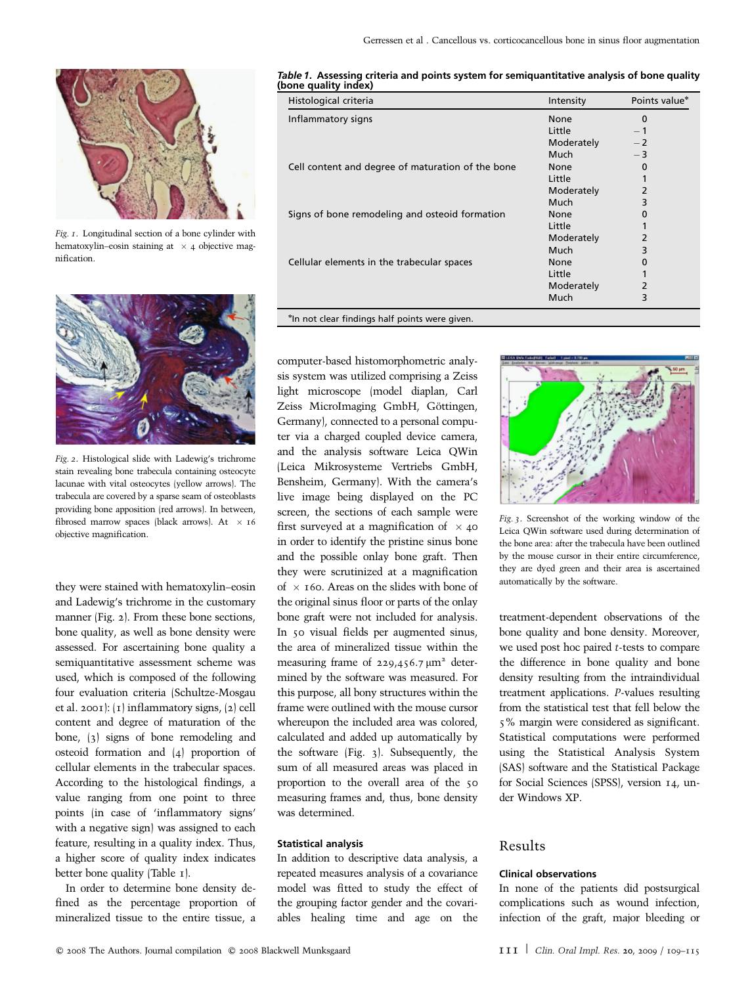

Fig. 1. Longitudinal section of a bone cylinder with hematoxylin–eosin staining at  $\times$  4 objective magnification.



Fig. 2. Histological slide with Ladewig's trichrome stain revealing bone trabecula containing osteocyte lacunae with vital osteocytes (yellow arrows). The trabecula are covered by a sparse seam of osteoblasts providing bone apposition (red arrows). In between, fibrosed marrow spaces (black arrows). At  $\times$  16 objective magnification.

they were stained with hematoxylin–eosin and Ladewig's trichrome in the customary manner (Fig. 2). From these bone sections, bone quality, as well as bone density were assessed. For ascertaining bone quality a semiquantitative assessment scheme was used, which is composed of the following four evaluation criteria (Schultze-Mosgau et al. 2001): (1) inflammatory signs, (2) cell content and degree of maturation of the bone, (3) signs of bone remodeling and osteoid formation and (4) proportion of cellular elements in the trabecular spaces. According to the histological findings, a value ranging from one point to three points (in case of 'inflammatory signs' with a negative sign) was assigned to each feature, resulting in a quality index. Thus, a higher score of quality index indicates better bone quality (Table 1).

In order to determine bone density defined as the percentage proportion of mineralized tissue to the entire tissue, a

#### Table 1. Assessing criteria and points system for semiquantitative analysis of bone quality (bone quality index)

| Histological criteria                             | Intensity  | Points value* |
|---------------------------------------------------|------------|---------------|
| Inflammatory signs                                | None       | 0             |
|                                                   | Little     | $-1$          |
|                                                   | Moderately | $-2$          |
|                                                   | Much       | $-3$          |
| Cell content and degree of maturation of the bone | None       | $\Omega$      |
|                                                   | Little     |               |
|                                                   | Moderately | 2             |
|                                                   | Much       |               |
| Signs of bone remodeling and osteoid formation    | None       |               |
|                                                   | Little     |               |
|                                                   | Moderately |               |
|                                                   | Much       |               |
| Cellular elements in the trabecular spaces        | None       | O             |
|                                                   | Little     |               |
|                                                   | Moderately | 2             |
|                                                   | Much       | 3             |

\*In not clear findings half points were given.

computer-based histomorphometric analysis system was utilized comprising a Zeiss light microscope (model diaplan, Carl Zeiss MicroImaging GmbH, Göttingen, Germany), connected to a personal computer via a charged coupled device camera, and the analysis software Leica QWin (Leica Mikrosysteme Vertriebs GmbH, Bensheim, Germany). With the camera's live image being displayed on the PC screen, the sections of each sample were first surveyed at a magnification of  $\times$  40 in order to identify the pristine sinus bone and the possible onlay bone graft. Then they were scrutinized at a magnification of  $\times$  160. Areas on the slides with bone of the original sinus floor or parts of the onlay bone graft were not included for analysis. In 50 visual fields per augmented sinus, the area of mineralized tissue within the measuring frame of  $229,456.7 \mu m^2$  determined by the software was measured. For this purpose, all bony structures within the frame were outlined with the mouse cursor whereupon the included area was colored, calculated and added up automatically by the software (Fig. 3). Subsequently, the sum of all measured areas was placed in proportion to the overall area of the 50 measuring frames and, thus, bone density was determined.

## Statistical analysis

In addition to descriptive data analysis, a repeated measures analysis of a covariance model was fitted to study the effect of the grouping factor gender and the covariables healing time and age on the



Fig. 3. Screenshot of the working window of the Leica QWin software used during determination of the bone area: after the trabecula have been outlined by the mouse cursor in their entire circumference, they are dyed green and their area is ascertained automatically by the software.

treatment-dependent observations of the bone quality and bone density. Moreover, we used post hoc paired t-tests to compare the difference in bone quality and bone density resulting from the intraindividual treatment applications. P-values resulting from the statistical test that fell below the 5% margin were considered as significant. Statistical computations were performed using the Statistical Analysis System (SAS) software and the Statistical Package for Social Sciences (SPSS), version 14, under Windows XP.

# Results

## Clinical observations

In none of the patients did postsurgical complications such as wound infection, infection of the graft, major bleeding or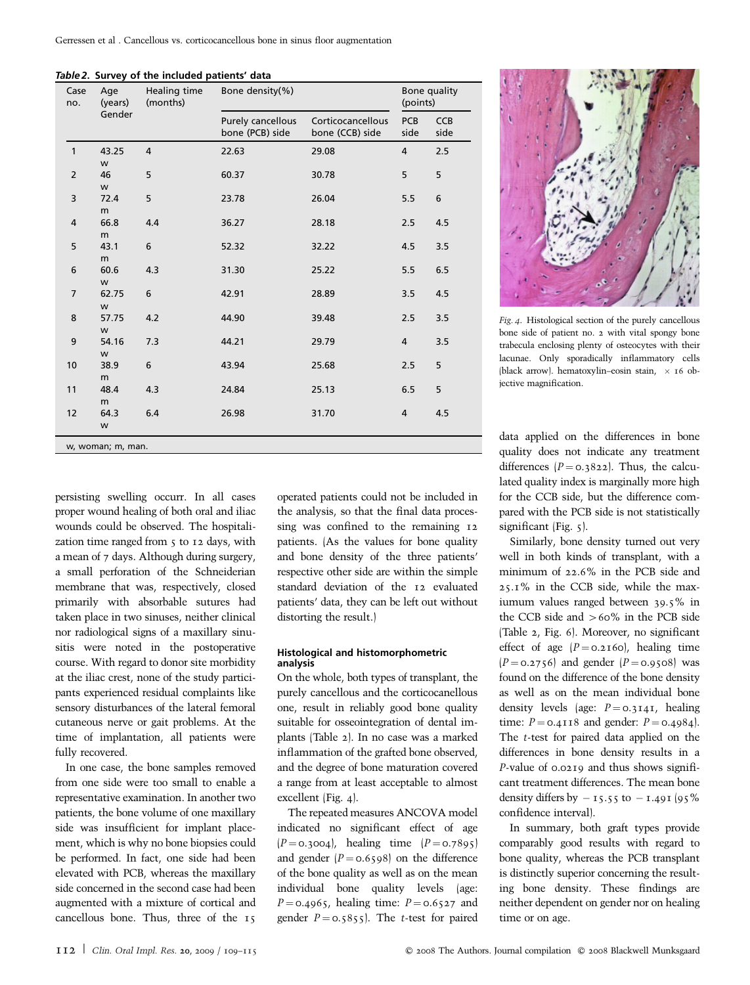Gerressen et al . Cancellous vs. corticocancellous bone in sinus floor augmentation

| Case<br>no.    | Age<br>(years) | Healing time<br>(months) | Bone density(%)                      | Bone quality<br>(points)             |                    |                    |
|----------------|----------------|--------------------------|--------------------------------------|--------------------------------------|--------------------|--------------------|
|                | Gender         |                          | Purely cancellous<br>bone (PCB) side | Corticocancellous<br>bone (CCB) side | <b>PCB</b><br>side | <b>CCB</b><br>side |
| $\mathbf{1}$   | 43.25<br>w     | $\overline{4}$           | 22.63                                | 29.08                                | $\overline{4}$     | 2.5                |
| $\overline{2}$ | 46<br>w        | 5                        | 60.37                                | 30.78                                | 5                  | 5                  |
| 3              | 72.4<br>m      | 5                        | 23.78                                | 26.04                                | 5.5                | 6                  |
| 4              | 66.8<br>m      | 4.4                      | 36.27                                | 28.18                                | 2.5                | 4.5                |
| 5              | 43.1<br>m      | 6                        | 52.32                                | 32.22                                | 4.5                | 3.5                |
| 6              | 60.6<br>W      | 4.3                      | 31.30                                | 25.22                                | 5.5                | 6.5                |
| 7              | 62.75<br>W     | 6                        | 42.91                                | 28.89                                | 3.5                | 4.5                |
| 8              | 57.75<br>W     | 4.2                      | 44.90                                | 39.48                                | 2.5                | 3.5                |
| 9              | 54.16<br>w     | 7.3                      | 44.21                                | 29.79                                | 4                  | 3.5                |
| 10             | 38.9<br>m      | 6                        | 43.94                                | 25.68                                | 2.5                | 5                  |
| 11             | 48.4<br>m      | 4.3                      | 24.84                                | 25.13                                | 6.5                | 5                  |
| 12             | 64.3<br>W      | 6.4                      | 26.98                                | 31.70                                | 4                  | 4.5                |

persisting swelling occurr. In all cases proper wound healing of both oral and iliac wounds could be observed. The hospitalization time ranged from 5 to 12 days, with a mean of 7 days. Although during surgery, a small perforation of the Schneiderian membrane that was, respectively, closed primarily with absorbable sutures had taken place in two sinuses, neither clinical nor radiological signs of a maxillary sinusitis were noted in the postoperative course. With regard to donor site morbidity at the iliac crest, none of the study participants experienced residual complaints like sensory disturbances of the lateral femoral cutaneous nerve or gait problems. At the time of implantation, all patients were fully recovered.

In one case, the bone samples removed from one side were too small to enable a representative examination. In another two patients, the bone volume of one maxillary side was insufficient for implant placement, which is why no bone biopsies could be performed. In fact, one side had been elevated with PCB, whereas the maxillary side concerned in the second case had been augmented with a mixture of cortical and cancellous bone. Thus, three of the 15 operated patients could not be included in the analysis, so that the final data processing was confined to the remaining 12 patients. (As the values for bone quality and bone density of the three patients' respective other side are within the simple standard deviation of the 12 evaluated patients' data, they can be left out without distorting the result.)

## Histological and histomorphometric analysis

On the whole, both types of transplant, the purely cancellous and the corticocanellous one, result in reliably good bone quality suitable for osseointegration of dental implants (Table 2). In no case was a marked inflammation of the grafted bone observed, and the degree of bone maturation covered a range from at least acceptable to almost excellent (Fig. 4).

The repeated measures ANCOVA model indicated no significant effect of age  $(P = 0.3004)$ , healing time  $(P = 0.7895)$ and gender  $[P = 0.6598]$  on the difference of the bone quality as well as on the mean individual bone quality levels (age:  $P = 0.4965$ , healing time:  $P = 0.6527$  and gender  $P = 0.5855$ . The t-test for paired



Fig. 4. Histological section of the purely cancellous bone side of patient no. 2 with vital spongy bone trabecula enclosing plenty of osteocytes with their lacunae. Only sporadically inflammatory cells (black arrow). hematoxylin–eosin stain,  $\times$  16 objective magnification.

data applied on the differences in bone quality does not indicate any treatment differences  $(P = 0.3822)$ . Thus, the calculated quality index is marginally more high for the CCB side, but the difference compared with the PCB side is not statistically significant (Fig. 5).

Similarly, bone density turned out very well in both kinds of transplant, with a minimum of 22.6% in the PCB side and 25.1% in the CCB side, while the maxiumum values ranged between 39.5% in the CCB side and  $>60\%$  in the PCB side (Table 2, Fig. 6). Moreover, no significant effect of age  $(P = 0.2160)$ , healing time  $(P = 0.2756)$  and gender  $(P = 0.9508)$  was found on the difference of the bone density as well as on the mean individual bone density levels (age:  $P = 0.3141$ , healing time:  $P = 0.4118$  and gender:  $P = 0.4984$ . The t-test for paired data applied on the differences in bone density results in a P-value of 0.0219 and thus shows significant treatment differences. The mean bone density differs by  $-15.55$  to  $-1.491$  (95%) confidence interval).

In summary, both graft types provide comparably good results with regard to bone quality, whereas the PCB transplant is distinctly superior concerning the resulting bone density. These findings are neither dependent on gender nor on healing time or on age.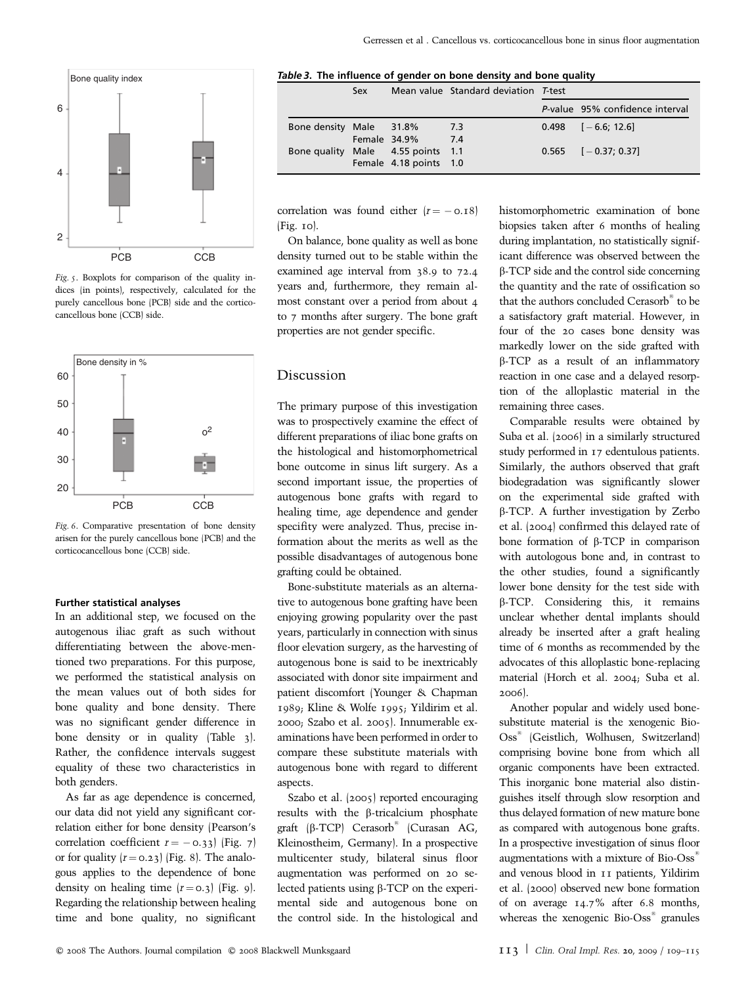



Fig. 5. Boxplots for comparison of the quality indices (in points), respectively, calculated for the purely cancellous bone (PCB) side and the corticocancellous bone (CCB) side.



Fig. 6. Comparative presentation of bone density arisen for the purely cancellous bone (PCB) and the corticocancellous bone (CCB) side.

#### Further statistical analyses

In an additional step, we focused on the autogenous iliac graft as such without differentiating between the above-mentioned two preparations. For this purpose, we performed the statistical analysis on the mean values out of both sides for bone quality and bone density. There was no significant gender difference in bone density or in quality (Table 3). Rather, the confidence intervals suggest equality of these two characteristics in both genders.

As far as age dependence is concerned, our data did not yield any significant correlation either for bone density (Pearson's correlation coefficient  $r = -0.33$  (Fig. 7) or for quality  $(r = 0.23)$  (Fig. 8). The analogous applies to the dependence of bone density on healing time  $(r = 0.3)$  (Fig. 9). Regarding the relationship between healing time and bone quality, no significant

| <i>Table</i> 3. The influence of gender on bone density and bone quality |
|--------------------------------------------------------------------------|
|--------------------------------------------------------------------------|

|                                   | Sex |                        | Mean value Standard deviation T-test |  |                                 |
|-----------------------------------|-----|------------------------|--------------------------------------|--|---------------------------------|
|                                   |     |                        |                                      |  | P-value 95% confidence interval |
| Bone density Male 31.8%           |     |                        | 7.3                                  |  | $0.498$ [-6.6; 12.6]            |
|                                   |     | Female 34.9%           | 7.4                                  |  |                                 |
| Bone quality Male 4.55 points 1.1 |     |                        |                                      |  | $0.565$ $[-0.37; 0.37]$         |
|                                   |     | Female 4.18 points 1.0 |                                      |  |                                 |

correlation was found either  $(r = -0.18)$ (Fig. 10).

On balance, bone quality as well as bone density turned out to be stable within the examined age interval from 38.9 to 72.4 years and, furthermore, they remain almost constant over a period from about 4 to 7 months after surgery. The bone graft properties are not gender specific.

# Discussion

The primary purpose of this investigation was to prospectively examine the effect of different preparations of iliac bone grafts on the histological and histomorphometrical bone outcome in sinus lift surgery. As a second important issue, the properties of autogenous bone grafts with regard to healing time, age dependence and gender specifity were analyzed. Thus, precise information about the merits as well as the possible disadvantages of autogenous bone grafting could be obtained.

Bone-substitute materials as an alternative to autogenous bone grafting have been enjoying growing popularity over the past years, particularly in connection with sinus floor elevation surgery, as the harvesting of autogenous bone is said to be inextricably associated with donor site impairment and patient discomfort (Younger & Chapman 1989; Kline & Wolfe 1995; Yildirim et al. 2000; Szabo et al. 2005). Innumerable examinations have been performed in order to compare these substitute materials with autogenous bone with regard to different aspects.

Szabo et al. (2005) reported encouraging results with the  $\beta$ -tricalcium phosphate graft ( $\beta$ -TCP) Cerasorb<sup>®</sup> (Curasan AG, Kleinostheim, Germany). In a prospective multicenter study, bilateral sinus floor augmentation was performed on 20 selected patients using  $\beta$ -TCP on the experimental side and autogenous bone on the control side. In the histological and

histomorphometric examination of bone biopsies taken after 6 months of healing during implantation, no statistically significant difference was observed between the b-TCP side and the control side concerning the quantity and the rate of ossification so that the authors concluded Cerasorb® to be a satisfactory graft material. However, in four of the 20 cases bone density was markedly lower on the side grafted with b-TCP as a result of an inflammatory reaction in one case and a delayed resorption of the alloplastic material in the remaining three cases.

Comparable results were obtained by Suba et al. (2006) in a similarly structured study performed in 17 edentulous patients. Similarly, the authors observed that graft biodegradation was significantly slower on the experimental side grafted with b-TCP. A further investigation by Zerbo et al. (2004) confirmed this delayed rate of bone formation of b-TCP in comparison with autologous bone and, in contrast to the other studies, found a significantly lower bone density for the test side with  $\beta$ -TCP. Considering this, it remains unclear whether dental implants should already be inserted after a graft healing time of 6 months as recommended by the advocates of this alloplastic bone-replacing material (Horch et al. 2004; Suba et al. 2006).

Another popular and widely used bonesubstitute material is the xenogenic Bio-Oss<sup>®</sup> (Geistlich, Wolhusen, Switzerland) comprising bovine bone from which all organic components have been extracted. This inorganic bone material also distinguishes itself through slow resorption and thus delayed formation of new mature bone as compared with autogenous bone grafts. In a prospective investigation of sinus floor augmentations with a mixture of Bio-Oss<sup>®</sup> and venous blood in 11 patients, Yildirim et al. (2000) observed new bone formation of on average 14.7% after 6.8 months, whereas the xenogenic Bio-Oss<sup>®</sup> granules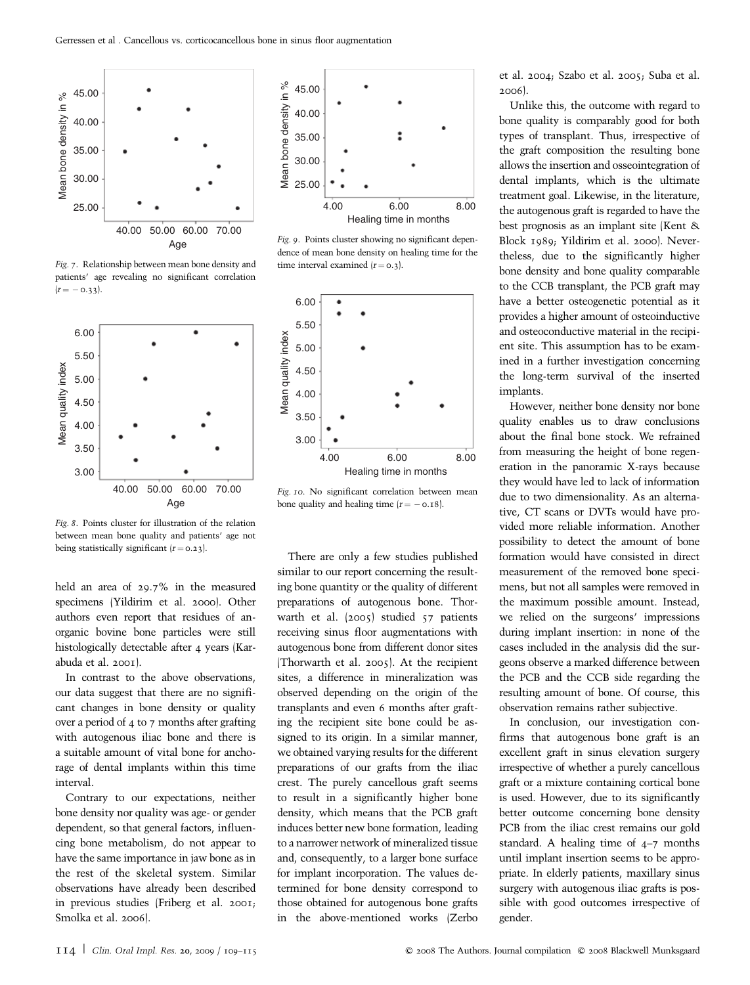

Fig. 7. Relationship between mean bone density and patients' age revealing no significant correlation  $(r = -0.33)$ .



Fig. 8. Points cluster for illustration of the relation between mean bone quality and patients' age not being statistically significant  $(r = 0.23)$ .

held an area of 29.7% in the measured specimens (Yildirim et al. 2000). Other authors even report that residues of anorganic bovine bone particles were still histologically detectable after 4 years (Karabuda et al. 2001).

In contrast to the above observations, our data suggest that there are no significant changes in bone density or quality over a period of 4 to 7 months after grafting with autogenous iliac bone and there is a suitable amount of vital bone for anchorage of dental implants within this time interval.

Contrary to our expectations, neither bone density nor quality was age- or gender dependent, so that general factors, influencing bone metabolism, do not appear to have the same importance in jaw bone as in the rest of the skeletal system. Similar observations have already been described in previous studies (Friberg et al. 2001; Smolka et al. 2006).



Fig. 9. Points cluster showing no significant dependence of mean bone density on healing time for the time interval examined  $(r = 0.3)$ .



Fig. 10. No significant correlation between mean bone quality and healing time  $(r = -0.18)$ .

There are only a few studies published similar to our report concerning the resulting bone quantity or the quality of different preparations of autogenous bone. Thorwarth et al. (2005) studied 57 patients receiving sinus floor augmentations with autogenous bone from different donor sites (Thorwarth et al. 2005). At the recipient sites, a difference in mineralization was observed depending on the origin of the transplants and even 6 months after grafting the recipient site bone could be assigned to its origin. In a similar manner, we obtained varying results for the different preparations of our grafts from the iliac crest. The purely cancellous graft seems to result in a significantly higher bone density, which means that the PCB graft induces better new bone formation, leading to a narrower network of mineralized tissue and, consequently, to a larger bone surface for implant incorporation. The values determined for bone density correspond to those obtained for autogenous bone grafts in the above-mentioned works (Zerbo

et al. 2004; Szabo et al. 2005; Suba et al. 2006).

Unlike this, the outcome with regard to bone quality is comparably good for both types of transplant. Thus, irrespective of the graft composition the resulting bone allows the insertion and osseointegration of dental implants, which is the ultimate treatment goal. Likewise, in the literature, the autogenous graft is regarded to have the best prognosis as an implant site (Kent & Block 1989; Yildirim et al. 2000). Nevertheless, due to the significantly higher bone density and bone quality comparable to the CCB transplant, the PCB graft may have a better osteogenetic potential as it provides a higher amount of osteoinductive and osteoconductive material in the recipient site. This assumption has to be examined in a further investigation concerning the long-term survival of the inserted implants.

However, neither bone density nor bone quality enables us to draw conclusions about the final bone stock. We refrained from measuring the height of bone regeneration in the panoramic X-rays because they would have led to lack of information due to two dimensionality. As an alternative, CT scans or DVTs would have provided more reliable information. Another possibility to detect the amount of bone formation would have consisted in direct measurement of the removed bone specimens, but not all samples were removed in the maximum possible amount. Instead, we relied on the surgeons' impressions during implant insertion: in none of the cases included in the analysis did the surgeons observe a marked difference between the PCB and the CCB side regarding the resulting amount of bone. Of course, this observation remains rather subjective.

In conclusion, our investigation confirms that autogenous bone graft is an excellent graft in sinus elevation surgery irrespective of whether a purely cancellous graft or a mixture containing cortical bone is used. However, due to its significantly better outcome concerning bone density PCB from the iliac crest remains our gold standard. A healing time of 4–7 months until implant insertion seems to be appropriate. In elderly patients, maxillary sinus surgery with autogenous iliac grafts is possible with good outcomes irrespective of gender.